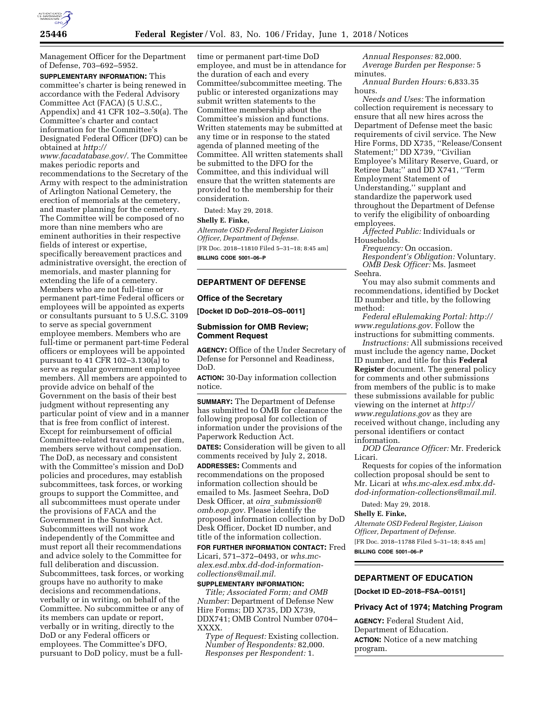

Management Officer for the Department of Defense, 703–692–5952.

**SUPPLEMENTARY INFORMATION:** This committee's charter is being renewed in accordance with the Federal Advisory Committee Act (FACA) (5 U.S.C., Appendix) and 41 CFR 102–3.50(a). The Committee's charter and contact information for the Committee's Designated Federal Officer (DFO) can be obtained at *[http://](http://www.facadatabase.gov/)*

*[www.facadatabase.gov/.](http://www.facadatabase.gov/)* The Committee makes periodic reports and recommendations to the Secretary of the Army with respect to the administration of Arlington National Cemetery, the erection of memorials at the cemetery, and master planning for the cemetery. The Committee will be composed of no more than nine members who are eminent authorities in their respective fields of interest or expertise, specifically bereavement practices and administrative oversight, the erection of memorials, and master planning for extending the life of a cemetery. Members who are not full-time or permanent part-time Federal officers or employees will be appointed as experts or consultants pursuant to 5 U.S.C. 3109 to serve as special government employee members. Members who are full-time or permanent part-time Federal officers or employees will be appointed pursuant to 41 CFR 102–3.130(a) to serve as regular government employee members. All members are appointed to provide advice on behalf of the Government on the basis of their best judgment without representing any particular point of view and in a manner that is free from conflict of interest. Except for reimbursement of official Committee-related travel and per diem, members serve without compensation. The DoD, as necessary and consistent with the Committee's mission and DoD policies and procedures, may establish subcommittees, task forces, or working groups to support the Committee, and all subcommittees must operate under the provisions of FACA and the Government in the Sunshine Act. Subcommittees will not work independently of the Committee and must report all their recommendations and advice solely to the Committee for full deliberation and discussion. Subcommittees, task forces, or working groups have no authority to make decisions and recommendations, verbally or in writing, on behalf of the Committee. No subcommittee or any of its members can update or report, verbally or in writing, directly to the DoD or any Federal officers or employees. The Committee's DFO, pursuant to DoD policy, must be a fulltime or permanent part-time DoD employee, and must be in attendance for the duration of each and every Committee/subcommittee meeting. The public or interested organizations may submit written statements to the Committee membership about the Committee's mission and functions. Written statements may be submitted at any time or in response to the stated agenda of planned meeting of the Committee. All written statements shall be submitted to the DFO for the Committee, and this individual will ensure that the written statements are provided to the membership for their consideration.

Dated: May 29, 2018.

### **Shelly E. Finke,**

*Alternate OSD Federal Register Liaison Officer, Department of Defense.*  [FR Doc. 2018–11810 Filed 5–31–18; 8:45 am]

**BILLING CODE 5001–06–P** 

### **DEPARTMENT OF DEFENSE**

## **Office of the Secretary**

**[Docket ID DoD–2018–OS–0011]** 

#### **Submission for OMB Review; Comment Request**

**AGENCY:** Office of the Under Secretary of Defense for Personnel and Readiness, DoD.

**ACTION:** 30-Day information collection notice.

**SUMMARY:** The Department of Defense has submitted to OMB for clearance the following proposal for collection of information under the provisions of the Paperwork Reduction Act.

**DATES:** Consideration will be given to all comments received by July 2, 2018.

**ADDRESSES:** Comments and recommendations on the proposed information collection should be emailed to Ms. Jasmeet Seehra, DoD Desk Officer, at *oira*\_*[submission@](mailto:oira_submission@omb.eop.gov) [omb.eop.gov.](mailto:oira_submission@omb.eop.gov)* Please identify the proposed information collection by DoD Desk Officer, Docket ID number, and title of the information collection.

**FOR FURTHER INFORMATION CONTACT:** Fred Licari, 571–372–0493, or *[whs.mc](mailto:whs.mc-alex.esd.mbx.dd-dod-information-collections@mail.mil)[alex.esd.mbx.dd-dod-information](mailto:whs.mc-alex.esd.mbx.dd-dod-information-collections@mail.mil)[collections@mail.mil.](mailto:whs.mc-alex.esd.mbx.dd-dod-information-collections@mail.mil)* 

**SUPPLEMENTARY INFORMATION:**  *Title; Associated Form; and OMB Number:* Department of Defense New Hire Forms; DD X735, DD X739, DDX741; OMB Control Number 0704– XXXX.

*Type of Request:* Existing collection. *Number of Respondents:* 82,000. *Responses per Respondent:* 1.

*Annual Responses:* 82,000. *Average Burden per Response:* 5 minutes.

*Annual Burden Hours:* 6,833.35 hours.

*Needs and Uses:* The information collection requirement is necessary to ensure that all new hires across the Department of Defense meet the basic requirements of civil service. The New Hire Forms, DD X735, ''Release/Consent Statement;'' DD X739, ''Civilian Employee's Military Reserve, Guard, or Retiree Data;'' and DD X741, ''Term Employment Statement of Understanding,'' supplant and standardize the paperwork used throughout the Department of Defense to verify the eligibility of onboarding employees.

*Affected Public:* Individuals or Households.

*Frequency:* On occasion.

*Respondent's Obligation:* Voluntary. *OMB Desk Officer:* Ms. Jasmeet Seehra.

You may also submit comments and recommendations, identified by Docket ID number and title, by the following method:

*Federal eRulemaking Portal: [http://](http://www.regulations.gov) [www.regulations.gov.](http://www.regulations.gov)* Follow the instructions for submitting comments.

*Instructions:* All submissions received must include the agency name, Docket ID number, and title for this **Federal Register** document. The general policy for comments and other submissions from members of the public is to make these submissions available for public viewing on the internet at *[http://](http://www.regulations.gov) [www.regulations.gov](http://www.regulations.gov)* as they are received without change, including any personal identifiers or contact information.

*DOD Clearance Officer:* Mr. Frederick Licari.

Requests for copies of the information collection proposal should be sent to Mr. Licari at *[whs.mc-alex.esd.mbx.dd](mailto:whs.mc-alex.esd.mbx.dd-dod-information-collections@mail.mil)[dod-information-collections@mail.mil.](mailto:whs.mc-alex.esd.mbx.dd-dod-information-collections@mail.mil)* 

Dated: May 29, 2018.

#### **Shelly E. Finke,**

*Alternate OSD Federal Register, Liaison Officer, Department of Defense.*  [FR Doc. 2018–11788 Filed 5–31–18; 8:45 am]

**BILLING CODE 5001–06–P** 

#### **DEPARTMENT OF EDUCATION**

**[Docket ID ED–2018–FSA–00151]** 

#### **Privacy Act of 1974; Matching Program**

**AGENCY:** Federal Student Aid, Department of Education. **ACTION:** Notice of a new matching program.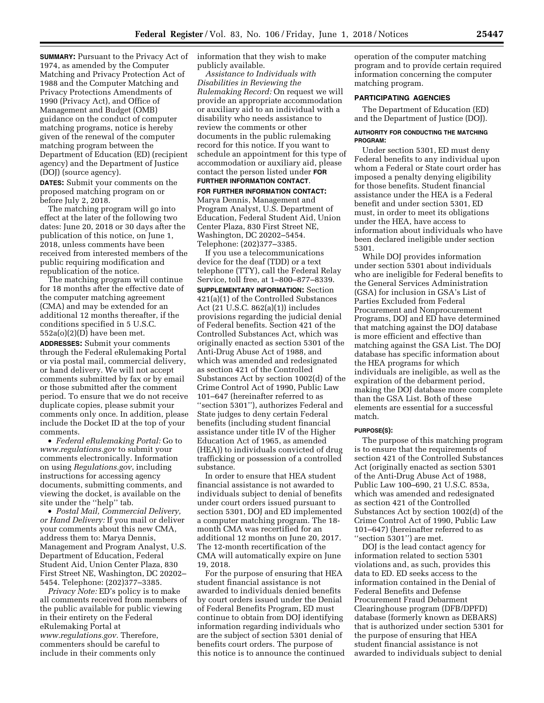**SUMMARY:** Pursuant to the Privacy Act of 1974, as amended by the Computer Matching and Privacy Protection Act of 1988 and the Computer Matching and Privacy Protections Amendments of 1990 (Privacy Act), and Office of Management and Budget (OMB) guidance on the conduct of computer matching programs, notice is hereby given of the renewal of the computer matching program between the Department of Education (ED) (recipient agency) and the Department of Justice (DOJ) (source agency).

**DATES:** Submit your comments on the proposed matching program on or before July 2, 2018.

The matching program will go into effect at the later of the following two dates: June 20, 2018 or 30 days after the publication of this notice, on June 1, 2018, unless comments have been received from interested members of the public requiring modification and republication of the notice.

The matching program will continue for 18 months after the effective date of the computer matching agreement (CMA) and may be extended for an additional 12 months thereafter, if the conditions specified in 5 U.S.C.  $552a(o)(2)(D)$  have been met.

**ADDRESSES:** Submit your comments through the Federal eRulemaking Portal or via postal mail, commercial delivery, or hand delivery. We will not accept comments submitted by fax or by email or those submitted after the comment period. To ensure that we do not receive duplicate copies, please submit your comments only once. In addition, please include the Docket ID at the top of your comments.

• *Federal eRulemaking Portal:* Go to *[www.regulations.gov](http://www.regulations.gov)* to submit your comments electronically. Information on using *Regulations.gov*, including instructions for accessing agency documents, submitting comments, and viewing the docket, is available on the site under the "help" tab.

• *Postal Mail, Commercial Delivery, or Hand Delivery:* If you mail or deliver your comments about this new CMA, address them to: Marya Dennis, Management and Program Analyst, U.S. Department of Education, Federal Student Aid, Union Center Plaza, 830 First Street NE, Washington, DC 20202– 5454. Telephone: (202)377–3385.

*Privacy Note:* ED's policy is to make all comments received from members of the public available for public viewing in their entirety on the Federal eRulemaking Portal at *[www.regulations.gov.](http://www.regulations.gov)* Therefore, commenters should be careful to include in their comments only

information that they wish to make publicly available.

*Assistance to Individuals with Disabilities in Reviewing the Rulemaking Record:* On request we will provide an appropriate accommodation or auxiliary aid to an individual with a disability who needs assistance to review the comments or other documents in the public rulemaking record for this notice. If you want to schedule an appointment for this type of accommodation or auxiliary aid, please contact the person listed under **FOR FURTHER INFORMATION CONTACT**.

**FOR FURTHER INFORMATION CONTACT:**  Marya Dennis, Management and Program Analyst, U.S. Department of Education, Federal Student Aid, Union Center Plaza, 830 First Street NE, Washington, DC 20202–5454. Telephone: (202)377–3385.

If you use a telecommunications device for the deaf (TDD) or a text telephone (TTY), call the Federal Relay Service, toll free, at 1–800–877–8339. **SUPPLEMENTARY INFORMATION:** Section 421(a)(1) of the Controlled Substances Act (21 U.S.C. 862(a)(1)) includes provisions regarding the judicial denial of Federal benefits. Section 421 of the Controlled Substances Act, which was originally enacted as section 5301 of the Anti-Drug Abuse Act of 1988, and which was amended and redesignated as section 421 of the Controlled Substances Act by section 1002(d) of the Crime Control Act of 1990, Public Law 101–647 (hereinafter referred to as ''section 5301''), authorizes Federal and State judges to deny certain Federal benefits (including student financial assistance under title IV of the Higher Education Act of 1965, as amended (HEA)) to individuals convicted of drug trafficking or possession of a controlled substance.

In order to ensure that HEA student financial assistance is not awarded to individuals subject to denial of benefits under court orders issued pursuant to section 5301, DOJ and ED implemented a computer matching program. The 18 month CMA was recertified for an additional 12 months on June 20, 2017. The 12-month recertification of the CMA will automatically expire on June 19, 2018.

For the purpose of ensuring that HEA student financial assistance is not awarded to individuals denied benefits by court orders issued under the Denial of Federal Benefits Program, ED must continue to obtain from DOJ identifying information regarding individuals who are the subject of section 5301 denial of benefits court orders. The purpose of this notice is to announce the continued operation of the computer matching program and to provide certain required information concerning the computer matching program.

#### **PARTICIPATING AGENCIES**

The Department of Education (ED) and the Department of Justice (DOJ).

#### **AUTHORITY FOR CONDUCTING THE MATCHING PROGRAM:**

Under section 5301, ED must deny Federal benefits to any individual upon whom a Federal or State court order has imposed a penalty denying eligibility for those benefits. Student financial assistance under the HEA is a Federal benefit and under section 5301, ED must, in order to meet its obligations under the HEA, have access to information about individuals who have been declared ineligible under section 5301.

While DOJ provides information under section 5301 about individuals who are ineligible for Federal benefits to the General Services Administration (GSA) for inclusion in GSA's List of Parties Excluded from Federal Procurement and Nonprocurement Programs, DOJ and ED have determined that matching against the DOJ database is more efficient and effective than matching against the GSA List. The DOJ database has specific information about the HEA programs for which individuals are ineligible, as well as the expiration of the debarment period, making the DOJ database more complete than the GSA List. Both of these elements are essential for a successful match.

#### **PURPOSE(S):**

The purpose of this matching program is to ensure that the requirements of section 421 of the Controlled Substances Act (originally enacted as section 5301 of the Anti-Drug Abuse Act of 1988, Public Law 100–690, 21 U.S.C. 853a, which was amended and redesignated as section 421 of the Controlled Substances Act by section 1002(d) of the Crime Control Act of 1990, Public Law 101–647) (hereinafter referred to as ''section 5301'') are met.

DOJ is the lead contact agency for information related to section 5301 violations and, as such, provides this data to ED. ED seeks access to the information contained in the Denial of Federal Benefits and Defense Procurement Fraud Debarment Clearinghouse program (DFB/DPFD) database (formerly known as DEBARS) that is authorized under section 5301 for the purpose of ensuring that HEA student financial assistance is not awarded to individuals subject to denial